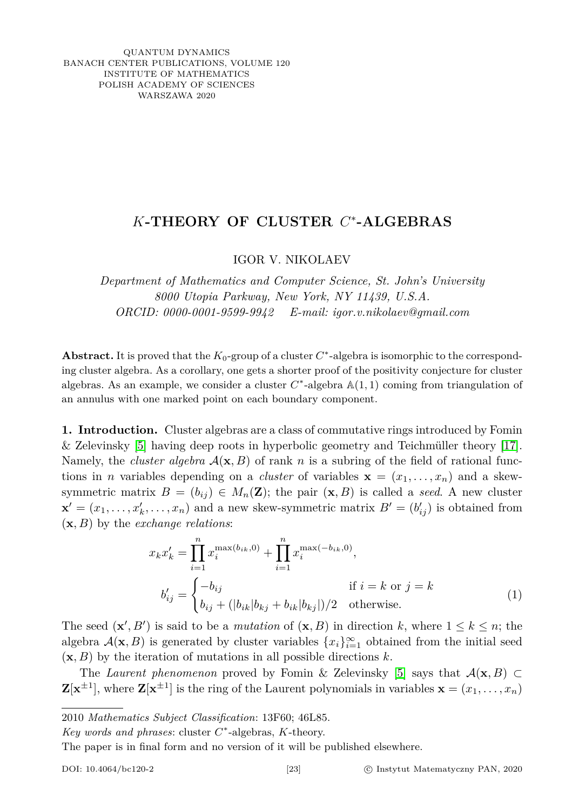QUANTUM DYNAMICS BANACH CENTER PUBLICATIONS, VOLUME 120 INSTITUTE OF MATHEMATICS POLISH ACADEMY OF SCIENCES WARSZAWA 2020

## *K***-THEORY OF CLUSTER** *C* ∗ **-ALGEBRAS**

IGOR V. NIKOLAEV

*Department of Mathematics and Computer Science, St. John's University 8000 Utopia Parkway, New York, NY 11439, U.S.A. ORCID: 0000-0001-9599-9942 E-mail: igor.v.nikolaev@gmail.com*

Abstract. It is proved that the  $K_0$ -group of a cluster  $C^*$ -algebra is isomorphic to the corresponding cluster algebra. As a corollary, one gets a shorter proof of the positivity conjecture for cluster algebras. As an example, we consider a cluster  $C^*$ -algebra  $\mathbb{A}(1,1)$  coming from triangulation of an annulus with one marked point on each boundary component.

**1. Introduction.** Cluster algebras are a class of commutative rings introduced by Fomin & Zelevinsky [\[5\]](#page-11-0) having deep roots in hyperbolic geometry and Teichmüller theory [\[17\]](#page-11-1). Namely, the *cluster algebra*  $\mathcal{A}(\mathbf{x}, B)$  of rank *n* is a subring of the field of rational functions in *n* variables depending on a *cluster* of variables  $\mathbf{x} = (x_1, \dots, x_n)$  and a skewsymmetric matrix  $B = (b_{ij}) \in M_n(\mathbf{Z})$ ; the pair  $(\mathbf{x}, B)$  is called a *seed*. A new cluster  $\mathbf{x}' = (x_1, \ldots, x_k', \ldots, x_n)$  and a new skew-symmetric matrix  $B' = (b'_{ij})$  is obtained from (**x***, B*) by the *exchange relations*:

<span id="page-0-0"></span>
$$
x_k x'_k = \prod_{i=1}^n x_i^{\max(b_{ik},0)} + \prod_{i=1}^n x_i^{\max(-b_{ik},0)},
$$
  

$$
b'_{ij} = \begin{cases} -b_{ij} & \text{if } i=k \text{ or } j=k\\ b_{ij} + (|b_{ik}|b_{kj} + b_{ik}|b_{kj}|)/2 & \text{otherwise.} \end{cases}
$$
 (1)

The seed  $(\mathbf{x}', B')$  is said to be a *mutation* of  $(\mathbf{x}, B)$  in direction *k*, where  $1 \leq k \leq n$ ; the algebra  $\mathcal{A}(\mathbf{x}, B)$  is generated by cluster variables  $\{x_i\}_{i=1}^{\infty}$  obtained from the initial seed  $(\mathbf{x}, B)$  by the iteration of mutations in all possible directions *k*.

The *Laurent phenomenon* proved by Fomin & Zelevinsky [\[5\]](#page-11-0) says that  $\mathcal{A}(\mathbf{x}, B) \subset$  $\mathbf{Z}[\mathbf{x}^{\pm 1}]$ , where  $\mathbf{Z}[\mathbf{x}^{\pm 1}]$  is the ring of the Laurent polynomials in variables  $\mathbf{x} = (x_1, \dots, x_n)$ 

The paper is in final form and no version of it will be published elsewhere.

<sup>2010</sup> *Mathematics Subject Classification*: 13F60; 46L85.

*Key words and phrases*: cluster *C* ∗ -algebras, *K*-theory.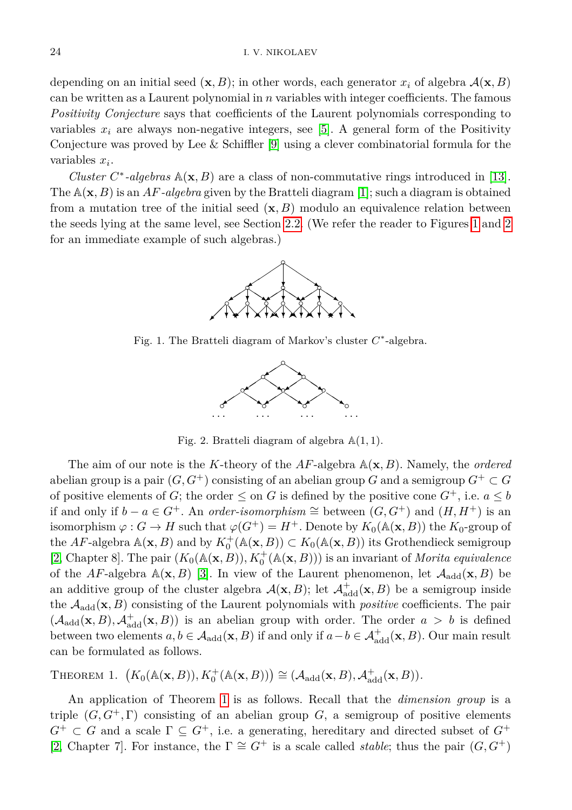depending on an initial seed  $(\mathbf{x}, B)$ ; in other words, each generator  $x_i$  of algebra  $\mathcal{A}(\mathbf{x}, B)$ can be written as a Laurent polynomial in *n* variables with integer coefficients. The famous *Positivity Conjecture* says that coefficients of the Laurent polynomials corresponding to variables  $x_i$  are always non-negative integers, see [\[5\]](#page-11-0). A general form of the Positivity Conjecture was proved by Lee & Schiffler  $[9]$  using a clever combinatorial formula for the variables *x<sup>i</sup>* .

<span id="page-1-0"></span>*Cluster*  $C^*$ -algebras  $\mathbb{A}(\mathbf{x}, B)$  are a class of non-commutative rings introduced in [\[13\]](#page-11-3). The A(**x***, B*) is an *AF-algebra* given by the Bratteli diagram [\[1\]](#page-10-0); such a diagram is obtained from a mutation tree of the initial seed (**x***, B*) modulo an equivalence relation between the seeds lying at the same level, see Section [2.2.](#page-3-0) (We refer the reader to Figures [1](#page-1-0) and [2](#page-1-1) for an immediate example of such algebras.)



<span id="page-1-1"></span>Fig. 1. The Bratteli diagram of Markov's cluster *C* ∗ -algebra.



Fig. 2. Bratteli diagram of algebra A(1*,* 1).

The aim of our note is the *K*-theory of the *AF*-algebra A(**x***, B*). Namely, the *ordered* abelian group is a pair  $(G, G^+)$  consisting of an abelian group *G* and a semigroup  $G^+ \subset G$ of positive elements of *G*; the order  $\leq$  on *G* is defined by the positive cone  $G^+$ , i.e.  $a \leq b$ if and only if  $b - a \in G^+$ . An *order-isomorphism* ≅ between  $(G, G^+)$  and  $(H, H^+)$  is an isomorphism  $\varphi: G \to H$  such that  $\varphi(G^+) = H^+$ . Denote by  $K_0(\mathbb{A}(\mathbf{x}, B))$  the  $K_0$ -group of the *AF*-algebra  $\mathbb{A}(\mathbf{x}, B)$  and by  $K_0^+(\mathbb{A}(\mathbf{x}, B)) \subset K_0(\mathbb{A}(\mathbf{x}, B))$  its Grothendieck semigroup [\[2,](#page-10-1) Chapter 8]. The pair  $(K_0(\mathbb{A}(\mathbf{x}, B)), K_0^+(\mathbb{A}(\mathbf{x}, B)))$  is an invariant of *Morita equivalence* of the *AF*-algebra  $\mathbb{A}(\mathbf{x}, B)$  [\[3\]](#page-10-2). In view of the Laurent phenomenon, let  $\mathcal{A}_{\text{add}}(\mathbf{x}, B)$  be an additive group of the cluster algebra  $\mathcal{A}(\mathbf{x}, B)$ ; let  $\mathcal{A}^+_{\text{add}}(\mathbf{x}, B)$  be a semigroup inside the Aadd(**x***, B*) consisting of the Laurent polynomials with *positive* coefficients. The pair  $(\mathcal{A}_{\text{add}}(\mathbf{x}, B), \mathcal{A}_{\text{add}}^+(\mathbf{x}, B))$  is an abelian group with order. The order  $a > b$  is defined between two elements  $a, b \in A_{add}(\mathbf{x}, B)$  if and only if  $a - b \in A_{add}^+(\mathbf{x}, B)$ . Our main result can be formulated as follows.

<span id="page-1-2"></span>THEOREM 1.  $(K_0(\mathbb{A}(\mathbf{x}, B)), K_0^+(\mathbb{A}(\mathbf{x}, B))) \cong (\mathcal{A}_{\text{add}}(\mathbf{x}, B), \mathcal{A}_{\text{add}}^+(\mathbf{x}, B)).$ 

An application of Theorem [1](#page-1-2) is as follows. Recall that the *dimension group* is a triple  $(G, G^+, \Gamma)$  consisting of an abelian group *G*, a semigroup of positive elements  $G^+ \subset G$  and a scale  $\Gamma \subseteq G^+$ , i.e. a generating, hereditary and directed subset of  $G^+$ [\[2,](#page-10-1) Chapter 7]. For instance, the  $\Gamma \cong G^+$  is a scale called *stable*; thus the pair  $(G, G^+)$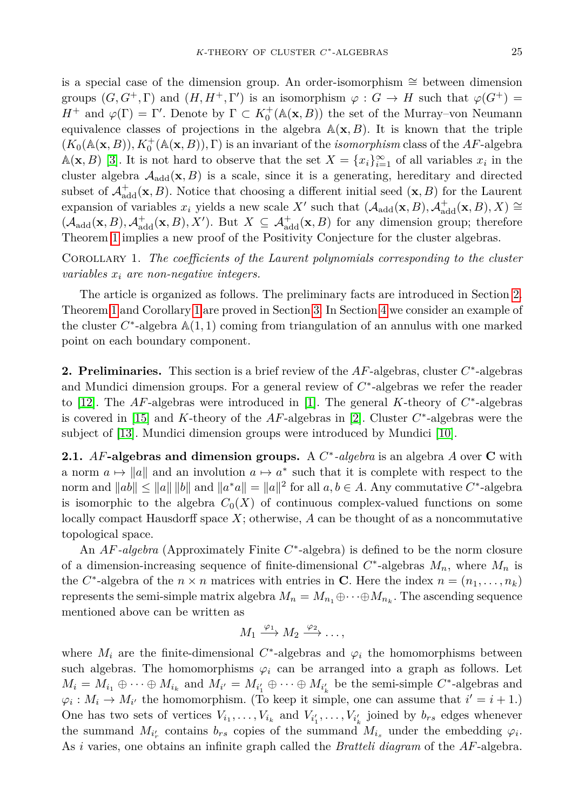is a special case of the dimension group. An order-isomorphism ∼= between dimension groups  $(G, G^+, \Gamma)$  and  $(H, H^+, \Gamma')$  is an isomorphism  $\varphi : G \to H$  such that  $\varphi(G^+) =$ *H*<sup>+</sup> and  $\varphi(\Gamma) = \Gamma'$ . Denote by  $\Gamma \subset K_0^+(\mathbb{A}(\mathbf{x}, B))$  the set of the Murray–von Neumann equivalence classes of projections in the algebra  $\mathbb{A}(\mathbf{x},B)$ . It is known that the triple  $(K_0(\mathbb{A}(\mathbf{x}, B)), K_0^+(\mathbb{A}(\mathbf{x}, B)), \Gamma)$  is an invariant of the *isomorphism* class of the *AF*-algebra A(**x**, *B*) [\[3\]](#page-10-2). It is not hard to observe that the set  $X = \{x_i\}_{i=1}^{\infty}$  of all variables  $x_i$  in the cluster algebra  $A_{\text{add}}(\mathbf{x}, B)$  is a scale, since it is a generating, hereditary and directed subset of  $\mathcal{A}^{\dagger}_{\text{add}}(\mathbf{x}, B)$ . Notice that choosing a different initial seed  $(\mathbf{x}, B)$  for the Laurent expansion of variables  $x_i$  yields a new scale  $X'$  such that  $(A_{\text{add}}(\mathbf{x},B), A_{\text{add}}^+(\mathbf{x},B), X) \cong$  $(\mathcal{A}_{\text{add}}(\mathbf{x}, B), \mathcal{A}_{\text{add}}^+(\mathbf{x}, B), X')$ . But  $X \subseteq \mathcal{A}_{\text{add}}^+(\mathbf{x}, B)$  for any dimension group; therefore Theorem [1](#page-1-2) implies a new proof of the Positivity Conjecture for the cluster algebras.

<span id="page-2-1"></span>Corollary 1. *The coefficients of the Laurent polynomials corresponding to the cluster variables x<sup>i</sup> are non-negative integers.*

The article is organized as follows. The preliminary facts are introduced in Section [2.](#page-2-0) Theorem [1](#page-1-2) and Corollary [1](#page-2-1) are proved in Section [3.](#page-5-0) In Section [4](#page-7-0) we consider an example of the cluster  $C^*$ -algebra  $A(1,1)$  coming from triangulation of an annulus with one marked point on each boundary component.

<span id="page-2-0"></span>**2. Preliminaries.** This section is a brief review of the *AF*-algebras, cluster *C* ∗ -algebras and Mundici dimension groups. For a general review of *C* ∗ -algebras we refer the reader to [\[12\]](#page-11-4). The  $AF$ -algebras were introduced in [\[1\]](#page-10-0). The general  $K$ -theory of  $C^*$ -algebras is covered in [\[15\]](#page-11-5) and *K*-theory of the *AF*-algebras in [\[2\]](#page-10-1). Cluster *C* ∗ -algebras were the subject of [\[13\]](#page-11-3). Mundici dimension groups were introduced by Mundici [\[10\]](#page-11-6).

**2.1.** *AF***-algebras and dimension groups.** A *C* ∗ *-algebra* is an algebra *A* over **C** with a norm  $a \mapsto \|a\|$  and an involution  $a \mapsto a^*$  such that it is complete with respect to the norm and  $||ab|| \le ||a|| ||b||$  and  $||a^*a|| = ||a||^2$  for all  $a, b \in A$ . Any commutative  $C^*$ -algebra is isomorphic to the algebra  $C_0(X)$  of continuous complex-valued functions on some locally compact Hausdorff space *X*; otherwise, *A* can be thought of as a noncommutative topological space.

An *AF-algebra* (Approximately Finite *C* ∗ -algebra) is defined to be the norm closure of a dimension-increasing sequence of finite-dimensional  $C^*$ -algebras  $M_n$ , where  $M_n$  is the *C*<sup>\*</sup>-algebra of the  $n \times n$  matrices with entries in **C**. Here the index  $n = (n_1, \ldots, n_k)$ represents the semi-simple matrix algebra  $M_n = M_{n_1} \oplus \cdots \oplus M_{n_k}$ . The ascending sequence mentioned above can be written as

$$
M_1 \xrightarrow{\varphi_1} M_2 \xrightarrow{\varphi_2} \ldots,
$$

where  $M_i$  are the finite-dimensional  $C^*$ -algebras and  $\varphi_i$  the homomorphisms between such algebras. The homomorphisms  $\varphi_i$  can be arranged into a graph as follows. Let  $M_i = M_{i_1} \oplus \cdots \oplus M_{i_k}$  and  $M_{i'} = M_{i'_1} \oplus \cdots \oplus M_{i'_k}$  be the semi-simple  $C^*$ -algebras and  $\varphi_i: M_i \to M_{i'}$  the homomorphism. (To keep it simple, one can assume that  $i' = i + 1$ .) One has two sets of vertices  $V_{i_1}, \ldots, V_{i_k}$  and  $V_{i'_1}, \ldots, V_{i'_k}$  joined by  $b_{rs}$  edges whenever the summand  $M_{i'_r}$  contains  $b_{rs}$  copies of the summand  $M_{i_s}$  under the embedding  $\varphi_i$ . As *i* varies, one obtains an infinite graph called the *Bratteli diagram* of the *AF*-algebra.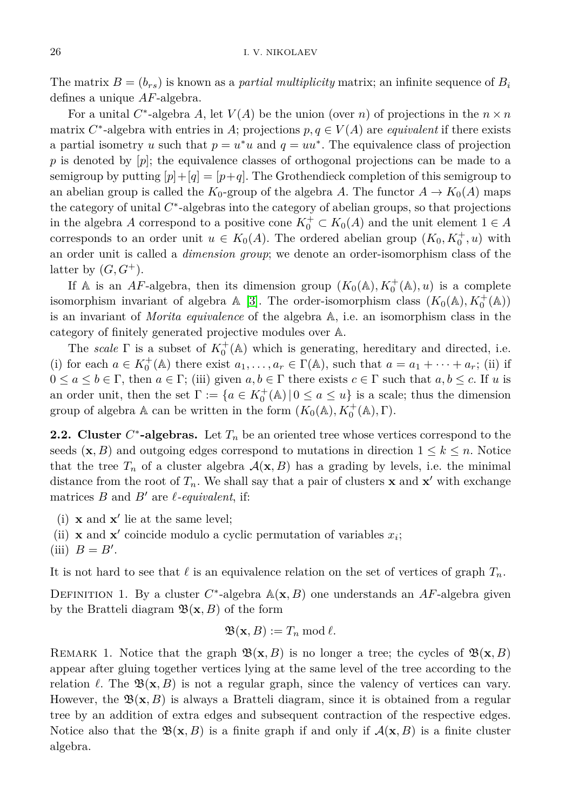The matrix  $B = (b_{rs})$  is known as a *partial multiplicity* matrix; an infinite sequence of  $B_i$ defines a unique *AF*-algebra.

For a unital  $C^*$ -algebra  $A$ , let  $V(A)$  be the union (over  $n$ ) of projections in the  $n \times n$ matrix  $C^*$ -algebra with entries in *A*; projections  $p, q \in V(A)$  are *equivalent* if there exists a partial isometry *u* such that  $p = u^*u$  and  $q = uu^*$ . The equivalence class of projection *p* is denoted by [*p*]; the equivalence classes of orthogonal projections can be made to a semigroup by putting  $[p]+[q] = [p+q]$ . The Grothendieck completion of this semigroup to an abelian group is called the  $K_0$ -group of the algebra *A*. The functor  $A \to K_0(A)$  maps the category of unital *C* ∗ -algebras into the category of abelian groups, so that projections in the algebra *A* correspond to a positive cone  $K_0^+ \subset K_0(A)$  and the unit element  $1 \in A$ corresponds to an order unit  $u \in K_0(A)$ . The ordered abelian group  $(K_0, K_0^+, u)$  with an order unit is called a *dimension group*; we denote an order-isomorphism class of the latter by  $(G, G^+)$ .

If A is an *AF*-algebra, then its dimension group  $(K_0(\mathbb{A}), K_0^+(\mathbb{A}), u)$  is a complete isomorphism invariant of algebra  $\mathbb{A}$  [\[3\]](#page-10-2). The order-isomorphism class  $(K_0(\mathbb{A}), K_0^+(\mathbb{A}))$ is an invariant of *Morita equivalence* of the algebra A, i.e. an isomorphism class in the category of finitely generated projective modules over A.

The *scale*  $\Gamma$  is a subset of  $K_0^+(\mathbb{A})$  which is generating, hereditary and directed, i.e. (i) for each  $a \in K_0^+(\mathbb{A})$  there exist  $a_1, \ldots, a_r \in \Gamma(\mathbb{A})$ , such that  $a = a_1 + \cdots + a_r$ ; (ii) if  $0 \le a \le b \in \Gamma$ , then  $a \in \Gamma$ ; (iii) given  $a, b \in \Gamma$  there exists  $c \in \Gamma$  such that  $a, b \le c$ . If *u* is an order unit, then the set  $\Gamma := \{a \in K_0^+(\mathbb{A}) \mid 0 \le a \le u\}$  is a scale; thus the dimension group of algebra  $\mathbb A$  can be written in the form  $(K_0(\mathbb A), K_0^+(\mathbb A), \Gamma)$ .

<span id="page-3-0"></span>**2.2. Cluster**  $C^*$ -algebras. Let  $T_n$  be an oriented tree whose vertices correspond to the seeds  $(\mathbf{x}, B)$  and outgoing edges correspond to mutations in direction  $1 \leq k \leq n$ . Notice that the tree  $T_n$  of a cluster algebra  $\mathcal{A}(\mathbf{x}, B)$  has a grading by levels, i.e. the minimal distance from the root of  $T_n$ . We shall say that a pair of clusters **x** and **x**' with exchange matrices  $B$  and  $B'$  are  $\ell$ -equivalent, if:

- (i)  $\mathbf{x}$  and  $\mathbf{x}'$  lie at the same level;
- (ii) **x** and **x**<sup> $\prime$ </sup> coincide modulo a cyclic permutation of variables  $x_i$ ;

(iii) 
$$
B = B'
$$
.

It is not hard to see that  $\ell$  is an equivalence relation on the set of vertices of graph  $T_n$ .

<span id="page-3-1"></span>DEFINITION 1. By a cluster  $C^*$ -algebra  $A(\mathbf{x}, B)$  one understands an  $AF$ -algebra given by the Bratteli diagram  $\mathfrak{B}(\mathbf{x},B)$  of the form

$$
\mathfrak{B}(\mathbf{x},B) := T_n \bmod \ell.
$$

REMARK 1. Notice that the graph  $\mathfrak{B}(\mathbf{x}, B)$  is no longer a tree; the cycles of  $\mathfrak{B}(\mathbf{x}, B)$ appear after gluing together vertices lying at the same level of the tree according to the relation  $\ell$ . The  $\mathfrak{B}(\mathbf{x}, B)$  is not a regular graph, since the valency of vertices can vary. However, the  $\mathfrak{B}(\mathbf{x},B)$  is always a Bratteli diagram, since it is obtained from a regular tree by an addition of extra edges and subsequent contraction of the respective edges. Notice also that the  $\mathfrak{B}(\mathbf{x},B)$  is a finite graph if and only if  $\mathcal{A}(\mathbf{x},B)$  is a finite cluster algebra.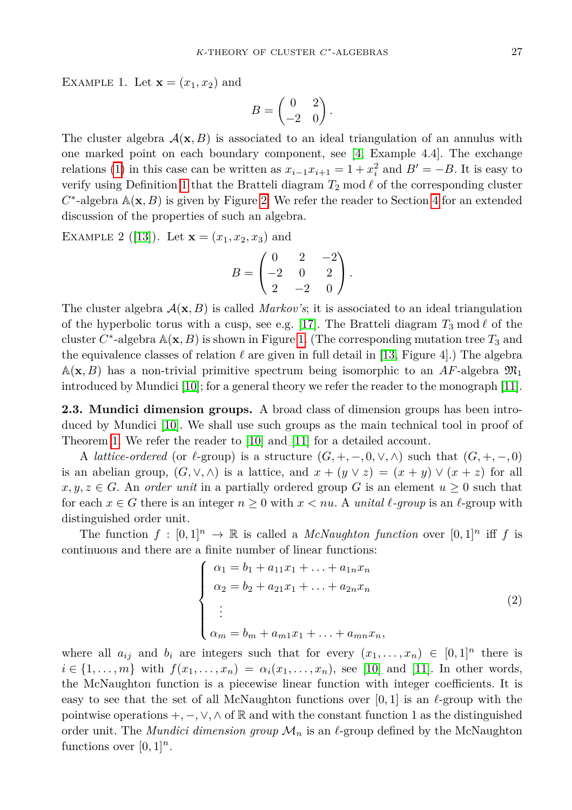EXAMPLE 1. Let  $\mathbf{x} = (x_1, x_2)$  and

$$
B = \begin{pmatrix} 0 & 2 \\ -2 & 0 \end{pmatrix}.
$$

The cluster algebra  $\mathcal{A}(\mathbf{x}, B)$  is associated to an ideal triangulation of an annulus with one marked point on each boundary component, see [\[4,](#page-11-7) Example 4.4]. The exchange relations [\(1\)](#page-0-0) in this case can be written as  $x_{i-1}x_{i+1} = 1 + x_i^2$  and  $B' = -B$ . It is easy to verify using Definition [1](#page-3-1) that the Bratteli diagram  $T_2 \text{ mod } \ell$  of the corresponding cluster  $C^*$ -algebra  $\mathbb{A}(\mathbf{x}, B)$  is given by Figure [2.](#page-1-1) We refer the reader to Section [4](#page-7-0) for an extended discussion of the properties of such an algebra.

EXAMPLE 2 ([\[13\]](#page-11-3)). Let  $\mathbf{x} = (x_1, x_2, x_3)$  and

$$
B = \begin{pmatrix} 0 & 2 & -2 \\ -2 & 0 & 2 \\ 2 & -2 & 0 \end{pmatrix}.
$$

The cluster algebra  $A(\mathbf{x}, B)$  is called *Markov's*; it is associated to an ideal triangulation of the hyperbolic torus with a cusp, see e.g. [\[17\]](#page-11-1). The Bratteli diagram  $T_3 \mod l$  of the cluster  $C^*$ -algebra  $\mathbb{A}(\mathbf{x}, B)$  is shown in Figure [1.](#page-1-0) (The corresponding mutation tree  $T_3$  and the equivalence classes of relation  $\ell$  are given in full detail in [\[13,](#page-11-3) Figure 4].) The algebra  $\mathbb{A}(\mathbf{x}, B)$  has a non-trivial primitive spectrum being isomorphic to an AF-algebra  $\mathfrak{M}_1$ introduced by Mundici [\[10\]](#page-11-6); for a general theory we refer the reader to the monograph [\[11\]](#page-11-8).

**2.3. Mundici dimension groups.** A broad class of dimension groups has been introduced by Mundici [\[10\]](#page-11-6). We shall use such groups as the main technical tool in proof of Theorem [1.](#page-1-2) We refer the reader to [\[10\]](#page-11-6) and [\[11\]](#page-11-8) for a detailed account.

A *lattice-ordered* (or  $\ell$ -group) is a structure  $(G, +, -, 0, \vee, \wedge)$  such that  $(G, +, -, 0)$ is an abelian group,  $(G, \vee, \wedge)$  is a lattice, and  $x + (y \vee z) = (x + y) \vee (x + z)$  for all  $x, y, z \in G$ . An *order unit* in a partially ordered group G is an element  $u \geq 0$  such that for each  $x \in G$  there is an integer  $n \geq 0$  with  $x < nu$ . A *unital*  $\ell$ -group is an  $\ell$ -group with distinguished order unit.

The function  $f : [0,1]^n \to \mathbb{R}$  is called a *McNaughton function* over  $[0,1]^n$  iff f is continuous and there are a finite number of linear functions:

<span id="page-4-1"></span>
$$
\begin{cases}\n\alpha_1 = b_1 + a_{11}x_1 + \dots + a_{1n}x_n \\
\alpha_2 = b_2 + a_{21}x_1 + \dots + a_{2n}x_n \\
\vdots \\
\alpha_m = b_m + a_{m1}x_1 + \dots + a_{mn}x_n,\n\end{cases}
$$
\n(2)

<span id="page-4-0"></span>where all  $a_{ij}$  and  $b_i$  are integers such that for every  $(x_1, \ldots, x_n) \in [0,1]^n$  there is  $i \in \{1, ..., m\}$  with  $f(x_1, ..., x_n) = \alpha_i(x_1, ..., x_n)$ , see [\[10\]](#page-11-6) and [\[11\]](#page-11-8). In other words, the McNaughton function is a piecewise linear function with integer coefficients. It is easy to see that the set of all McNaughton functions over  $[0,1]$  is an  $\ell$ -group with the pointwise operations  $+$ ,  $-$ ,  $\vee$ ,  $\wedge$  of  $\mathbb R$  and with the constant function 1 as the distinguished order unit. The *Mundici dimension group*  $\mathcal{M}_n$  is an  $\ell$ -group defined by the McNaughton functions over  $[0, 1]^n$ .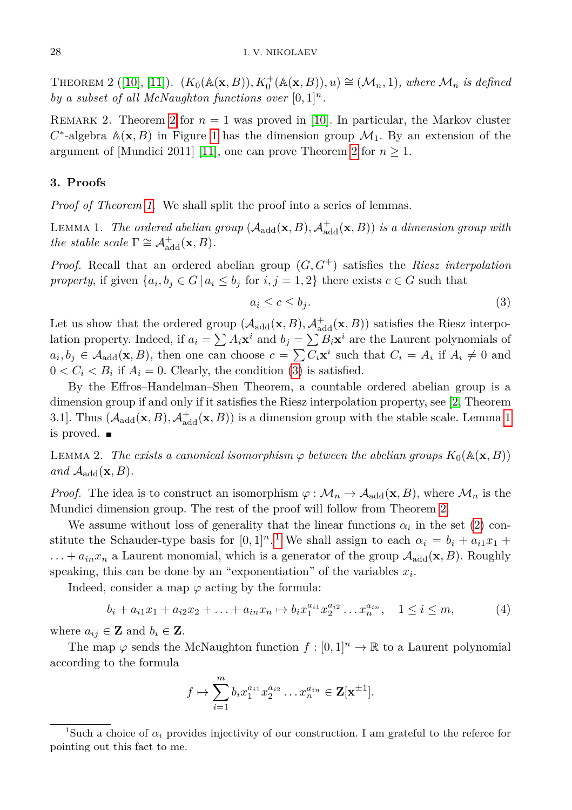THEOREM 2 ([\[10\]](#page-11-6), [\[11\]](#page-11-8)).  $(K_0(\mathbb{A}(\mathbf{x}, B)), K_0^+(\mathbb{A}(\mathbf{x}, B)), u) \cong (\mathcal{M}_n, 1), where  $\mathcal{M}_n$  is defined$ *by a subset of all McNaughton functions over*  $[0,1]^n$ .

REMARK [2](#page-4-0). Theorem 2 for  $n = 1$  was proved in [\[10\]](#page-11-6). In particular, the Markov cluster  $C^*$ -algebra  $\mathbb{A}(\mathbf{x},B)$  in Figure [1](#page-1-0) has the dimension group  $\mathcal{M}_1$ . By an extension of the argument of [Mundici 2011] [\[11\]](#page-11-8), one can prove Theorem [2](#page-4-0) for  $n \geq 1$ .

## <span id="page-5-0"></span>**3. Proofs**

*Proof of Theorem [1.](#page-1-2)* We shall split the proof into a series of lemmas.

<span id="page-5-2"></span>LEMMA 1. *The ordered abelian group*  $(A_{\text{add}}(\mathbf{x}, B), A_{\text{add}}^+(\mathbf{x}, B))$  *is a dimension group with the stable scale*  $\Gamma \cong \mathcal{A}_{add}^+(\mathbf{x}, B)$ *.* 

*Proof.* Recall that an ordered abelian group (*G, G*<sup>+</sup>) satisfies the *Riesz interpolation property*, if given  $\{a_i, b_j \in G \mid a_i \leq b_j \text{ for } i, j = 1, 2\}$  there exists  $c \in G$  such that

<span id="page-5-1"></span>
$$
a_i \le c \le b_j. \tag{3}
$$

Let us show that the ordered group  $(A_{\text{add}}(\mathbf{x}, B), A_{\text{add}}^+(\mathbf{x}, B))$  satisfies the Riesz interpolation property. Indeed, if  $a_i = \sum A_i \mathbf{x}^i$  and  $b_j = \sum B_i \mathbf{x}^i$  are the Laurent polynomials of  $a_i, b_j \in A_{\text{add}}(\mathbf{x}, B)$ , then one can choose  $c = \sum C_i \mathbf{x}^i$  such that  $C_i = A_i$  if  $A_i \neq 0$  and  $0 < C_i < B_i$  if  $A_i = 0$ . Clearly, the condition [\(3\)](#page-5-1) is satisfied.

By the Effros–Handelman–Shen Theorem, a countable ordered abelian group is a dimension group if and only if it satisfies the Riesz interpolation property, see [\[2,](#page-10-1) Theorem 3.1]. Thus  $(A_{\text{add}}(\mathbf{x}, B), A_{\text{add}}^+(\mathbf{x}, B))$  is a dimension group with the stable scale. Lemma [1](#page-5-2) is proved.

<span id="page-5-4"></span>LEMMA 2. The exists a canonical isomorphism  $\varphi$  between the abelian groups  $K_0(\mathbb{A}(\mathbf{x},B))$ *and*  $\mathcal{A}_{\text{add}}(\mathbf{x}, B)$ *.* 

*Proof.* The idea is to construct an isomorphism  $\varphi : \mathcal{M}_n \to \mathcal{A}_{add}(\mathbf{x}, B)$ , where  $\mathcal{M}_n$  is the Mundici dimension group. The rest of the proof will follow from Theorem [2.](#page-4-0)

We assume without loss of generality that the linear functions  $\alpha_i$  in the set [\(2\)](#page-4-1) constitute the Schauder-type basis for  $[0,1]^n$  $[0,1]^n$  $[0,1]^n$ .<sup>1</sup> We shall assign to each  $\alpha_i = b_i + a_{i1}x_1 +$  $\dots + a_{in}x_n$  a Laurent monomial, which is a generator of the group  $\mathcal{A}_{add}(\mathbf{x}, B)$ . Roughly speaking, this can be done by an "exponentiation" of the variables  $x_i$ .

Indeed, consider a map  $\varphi$  acting by the formula:

$$
b_i + a_{i1}x_1 + a_{i2}x_2 + \ldots + a_{in}x_n \mapsto b_ix_1^{a_{i1}}x_2^{a_{i2}}\ldots x_n^{a_{in}}, \quad 1 \le i \le m,
$$
 (4)

where  $a_{ij} \in \mathbf{Z}$  and  $b_i \in \mathbf{Z}$ .

The map  $\varphi$  sends the McNaughton function  $f : [0,1]^n \to \mathbb{R}$  to a Laurent polynomial according to the formula

<span id="page-5-5"></span>
$$
f \mapsto \sum_{i=1}^{m} b_i x_1^{a_{i1}} x_2^{a_{i2}} \dots x_n^{a_{in}} \in \mathbf{Z}[\mathbf{x}^{\pm 1}].
$$

<span id="page-5-3"></span><sup>&</sup>lt;sup>1</sup>Such a choice of  $\alpha_i$  provides injectivity of our construction. I am grateful to the referee for pointing out this fact to me.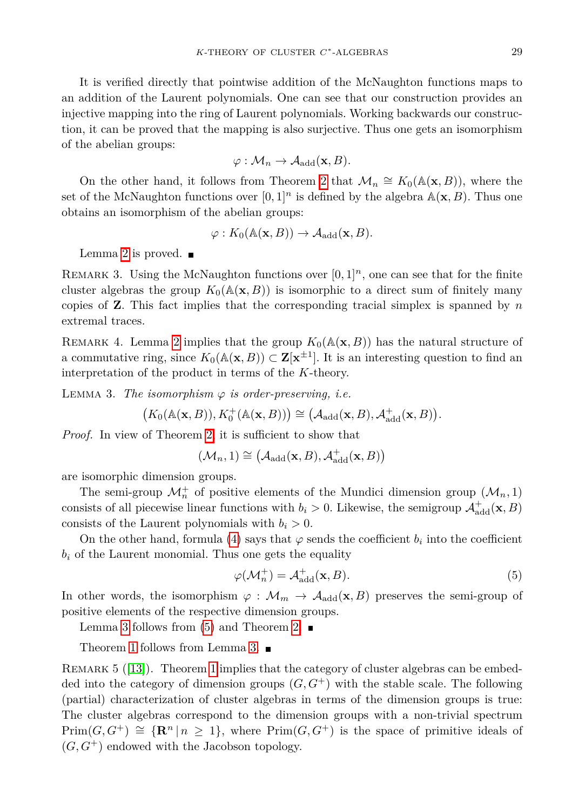It is verified directly that pointwise addition of the McNaughton functions maps to an addition of the Laurent polynomials. One can see that our construction provides an injective mapping into the ring of Laurent polynomials. Working backwards our construction, it can be proved that the mapping is also surjective. Thus one gets an isomorphism of the abelian groups:

$$
\varphi: \mathcal{M}_n \to \mathcal{A}_{\text{add}}(\mathbf{x}, B).
$$

On the other hand, it follows from Theorem [2](#page-4-0) that  $\mathcal{M}_n \cong K_0(\mathbb{A}(\mathbf{x}, B))$ , where the set of the McNaughton functions over  $[0,1]^n$  is defined by the algebra  $\mathbb{A}(\mathbf{x},B)$ . Thus one obtains an isomorphism of the abelian groups:

$$
\varphi: K_0(\mathbb{A}(\mathbf{x}, B)) \to \mathcal{A}_{\text{add}}(\mathbf{x}, B).
$$

Lemma [2](#page-5-4) is proved.  $\blacksquare$ 

REMARK 3. Using the McNaughton functions over  $[0, 1]^n$ , one can see that for the finite cluster algebras the group  $K_0(\mathbb{A}(\mathbf{x}, B))$  is isomorphic to a direct sum of finitely many copies of **Z**. This fact implies that the corresponding tracial simplex is spanned by *n* extremal traces.

REMARK 4. Lemma [2](#page-5-4) implies that the group  $K_0(\mathbb{A}(\mathbf{x}, B))$  has the natural structure of a commutative ring, since  $K_0(\mathbb{A}(\mathbf{x}, B)) \subset \mathbf{Z}[\mathbf{x}^{\pm 1}]$ . It is an interesting question to find an interpretation of the product in terms of the *K*-theory.

<span id="page-6-0"></span>LEMMA 3. *The isomorphism*  $\varphi$  *is order-preserving, i.e.* 

 $(K_0(\mathbb{A}(\mathbf{x}, B)), K_0^+(\mathbb{A}(\mathbf{x}, B))) \cong (\mathcal{A}_{\text{add}}(\mathbf{x}, B), \mathcal{A}_{\text{add}}^+(\mathbf{x}, B)).$ 

*Proof.* In view of Theorem [2,](#page-4-0) it is sufficient to show that

$$
(\mathcal{M}_n,1)\cong \left(\mathcal{A}_{\mathrm{add}}(\mathbf{x},B),\mathcal{A}^+_{\mathrm{add}}(\mathbf{x},B)\right)
$$

are isomorphic dimension groups.

The semi-group  $\mathcal{M}_n^+$  of positive elements of the Mundici dimension group  $(\mathcal{M}_n, 1)$ consists of all piecewise linear functions with  $b_i > 0$ . Likewise, the semigroup  $\mathcal{A}^+_{add}(\mathbf{x}, B)$ consists of the Laurent polynomials with  $b_i > 0$ .

On the other hand, formula [\(4\)](#page-5-5) says that  $\varphi$  sends the coefficient  $b_i$  into the coefficient  $b_i$  of the Laurent monomial. Thus one gets the equality

<span id="page-6-1"></span>
$$
\varphi(\mathcal{M}_n^+) = \mathcal{A}_{\text{add}}^+(\mathbf{x}, B). \tag{5}
$$

In other words, the isomorphism  $\varphi : \mathcal{M}_m \to \mathcal{A}_{\text{add}}(\mathbf{x}, B)$  preserves the semi-group of positive elements of the respective dimension groups.

Lemma [3](#page-6-0) follows from [\(5\)](#page-6-1) and Theorem [2.](#page-4-0)  $\blacksquare$ 

Theorem [1](#page-1-2) follows from Lemma [3.](#page-6-0)

REMARK 5 ([\[13\]](#page-11-3)). Theorem [1](#page-1-2) implies that the category of cluster algebras can be embedded into the category of dimension groups  $(G, G^+)$  with the stable scale. The following (partial) characterization of cluster algebras in terms of the dimension groups is true: The cluster algebras correspond to the dimension groups with a non-trivial spectrum  $Prim(G, G^+) \cong {\mathbf{R}^n | n \geq 1}$ , where  $Prim(G, G^+)$  is the space of primitive ideals of  $(G, G^+)$  endowed with the Jacobson topology.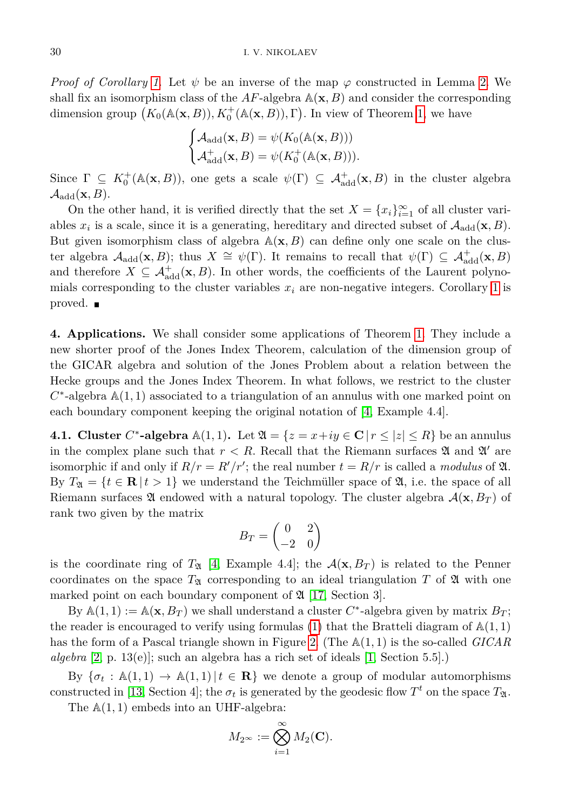*Proof of Corollary [1.](#page-2-1)* Let  $\psi$  be an inverse of the map  $\varphi$  constructed in Lemma [2.](#page-5-4) We shall fix an isomorphism class of the  $AF$ -algebra  $\mathbb{A}(\mathbf{x}, B)$  and consider the corresponding dimension group  $(K_0(\mathbb{A}(\mathbf{x}, B)), K_0^+(\mathbb{A}(\mathbf{x}, B)), \Gamma)$ . In view of Theorem [1,](#page-1-2) we have

$$
\begin{cases} \mathcal{A}_{\text{add}}(\mathbf{x}, B) = \psi(K_0(\mathbb{A}(\mathbf{x}, B))) \\ \mathcal{A}_{\text{add}}^+(\mathbf{x}, B) = \psi(K_0^+(\mathbb{A}(\mathbf{x}, B))). \end{cases}
$$

Since  $\Gamma \subseteq K_0^+(\mathbb{A}(\mathbf{x}, B))$ , one gets a scale  $\psi(\Gamma) \subseteq \mathcal{A}_{add}^+(\mathbf{x}, B)$  in the cluster algebra  $\mathcal{A}_{\text{add}}(\mathbf{x}, B)$ .

On the other hand, it is verified directly that the set  $X = \{x_i\}_{i=1}^{\infty}$  of all cluster variables  $x_i$  is a scale, since it is a generating, hereditary and directed subset of  $\mathcal{A}_{\text{add}}(\mathbf{x}, B)$ . But given isomorphism class of algebra  $\mathbb{A}(\mathbf{x}, B)$  can define only one scale on the cluster algebra  $\mathcal{A}_{\text{add}}(\mathbf{x},B)$ ; thus  $X \cong \psi(\Gamma)$ . It remains to recall that  $\psi(\Gamma) \subseteq \mathcal{A}_{\text{add}}^+(\mathbf{x},B)$ and therefore  $X \subseteq \mathcal{A}_{add}^+(\mathbf{x}, B)$ . In other words, the coefficients of the Laurent polynomials corresponding to the cluster variables  $x_i$  are non-negative integers. Corollary [1](#page-2-1) is proved.

<span id="page-7-0"></span>**4. Applications.** We shall consider some applications of Theorem [1.](#page-1-2) They include a new shorter proof of the Jones Index Theorem, calculation of the dimension group of the GICAR algebra and solution of the Jones Problem about a relation between the Hecke groups and the Jones Index Theorem. In what follows, we restrict to the cluster  $C^*$ -algebra  $\mathbb{A}(1,1)$  associated to a triangulation of an annulus with one marked point on each boundary component keeping the original notation of [\[4,](#page-11-7) Example 4.4].

**4.1. Cluster** C<sup>\*</sup>-algebra  $\mathbb{A}(1,1)$ . Let  $\mathfrak{A} = \{z = x + iy \in \mathbb{C} \mid r \leq |z| \leq R\}$  be an annulus in the complex plane such that  $r < R$ . Recall that the Riemann surfaces  $\mathfrak A$  and  $\mathfrak A'$  are isomorphic if and only if  $R/r = R'/r'$ ; the real number  $t = R/r$  is called a *modulus* of  $\mathfrak{A}$ . By  $T_{\mathfrak{A}} = \{t \in \mathbb{R} \mid t > 1\}$  we understand the Teichmüller space of  $\mathfrak{A}$ , i.e. the space of all Riemann surfaces  $\mathfrak A$  endowed with a natural topology. The cluster algebra  $\mathcal A(\mathbf x, B_T)$  of rank two given by the matrix

$$
B_T = \begin{pmatrix} 0 & 2 \\ -2 & 0 \end{pmatrix}
$$

is the coordinate ring of  $T_2$  [\[4,](#page-11-7) Example 4.4]; the  $\mathcal{A}(\mathbf{x}, B_T)$  is related to the Penner coordinates on the space  $T_{\mathfrak{A}}$  corresponding to an ideal triangulation T of  $\mathfrak A$  with one marked point on each boundary component of  $\mathfrak{A}$  [\[17,](#page-11-1) Section 3].

By  $\mathbb{A}(1,1) := \mathbb{A}(\mathbf{x}, B_T)$  we shall understand a cluster  $C^*$ -algebra given by matrix  $B_T$ ; the reader is encouraged to verify using formulas  $(1)$  that the Bratteli diagram of  $\mathbb{A}(1,1)$ has the form of a Pascal triangle shown in Figure [2.](#page-1-1) (The A(1*,* 1) is the so-called *GICAR algebra* [\[2,](#page-10-1) p. 13(e)]; such an algebra has a rich set of ideals [\[1,](#page-10-0) Section 5.5].)

By  ${\sigma_t : \mathbb{A}(1,1) \to \mathbb{A}(1,1) | t \in \mathbb{R}}$  we denote a group of modular automorphisms constructed in [\[13,](#page-11-3) Section 4]; the  $\sigma_t$  is generated by the geodesic flow  $T^t$  on the space  $T_{\mathfrak{A}}$ .

The  $A(1, 1)$  embeds into an UHF-algebra:

$$
M_{2^{\infty}} := \bigotimes_{i=1}^{\infty} M_2(\mathbf{C}).
$$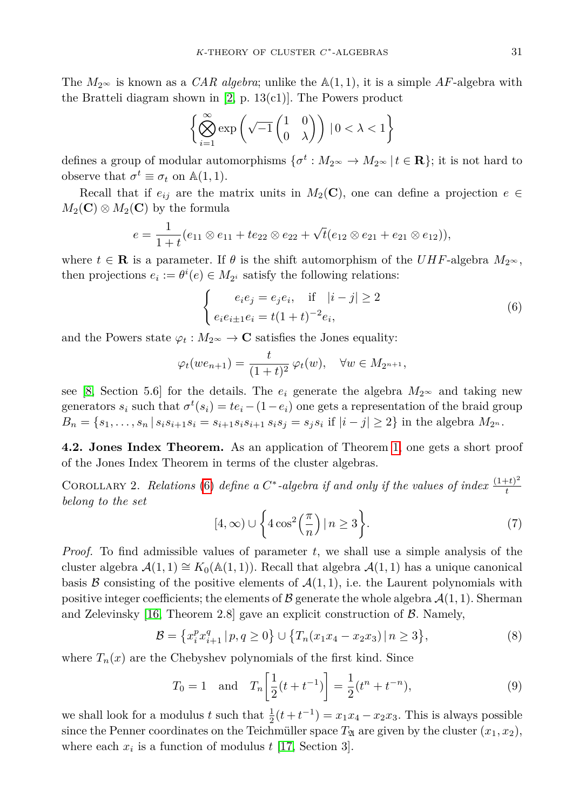The  $M_{2^{\infty}}$  is known as a *CAR algebra*; unlike the  $\mathbb{A}(1,1)$ , it is a simple AF-algebra with the Bratteli diagram shown in [\[2,](#page-10-1) p. 13(c1)]. The Powers product

$$
\left\{\bigotimes_{i=1}^{\infty}\exp\left(\sqrt{-1}\begin{pmatrix}1&0\\0&\lambda\end{pmatrix}\right)\,|\,0<\lambda<1\right\}
$$

defines a group of modular automorphisms  $\{\sigma^t: M_{2^{\infty}} \to M_{2^{\infty}} \mid t \in \mathbf{R}\}$ ; it is not hard to observe that  $\sigma^t \equiv \sigma_t$  on  $\mathbb{A}(1,1)$ .

Recall that if  $e_{ij}$  are the matrix units in  $M_2(\mathbf{C})$ , one can define a projection  $e \in$  $M_2(\mathbf{C}) \otimes M_2(\mathbf{C})$  by the formula

$$
e = \frac{1}{1+t}(e_{11} \otimes e_{11} + te_{22} \otimes e_{22} + \sqrt{t}(e_{12} \otimes e_{21} + e_{21} \otimes e_{12})),
$$

where  $t \in \mathbf{R}$  is a parameter. If  $\theta$  is the shift automorphism of the *UHF*-algebra  $M_{2^{\infty}}$ , then projections  $e_i := \theta^i(e) \in M_{2^i}$  satisfy the following relations:

<span id="page-8-0"></span>
$$
\begin{cases} e_i e_j = e_j e_i, & \text{if } |i - j| \ge 2\\ e_i e_{i \pm 1} e_i = t (1 + t)^{-2} e_i, \end{cases}
$$
(6)

and the Powers state  $\varphi_t : M_{2^\infty} \to \mathbb{C}$  satisfies the Jones equality:

$$
\varphi_t(we_{n+1}) = \frac{t}{(1+t)^2} \varphi_t(w), \quad \forall w \in M_{2^{n+1}},
$$

see [\[8,](#page-11-9) Section 5.6] for the details. The  $e_i$  generate the algebra  $M_{2^{\infty}}$  and taking new generators  $s_i$  such that  $\sigma^t(s_i) = te_i - (1 - e_i)$  one gets a representation of the braid group  $B_n = \{s_1, \ldots, s_n | s_i s_{i+1} s_i = s_{i+1} s_i s_{i+1} s_i s_j = s_j s_i \text{ if } |i-j| \geq 2\} \text{ in the algebra } M_{2^n}.$ 

<span id="page-8-4"></span>**4.2. Jones Index Theorem.** As an application of Theorem [1,](#page-1-2) one gets a short proof of the Jones Index Theorem in terms of the cluster algebras.

<span id="page-8-3"></span>COROLLARY 2. *Relations* [\(6\)](#page-8-0) *define a*  $C^*$ -algebra if and only if the values of index  $\frac{(1+t)^2}{t}$ *t belong to the set*

<span id="page-8-5"></span><span id="page-8-2"></span><span id="page-8-1"></span>
$$
[4,\infty)\cup\left\{4\cos^2\left(\frac{\pi}{n}\right)|n\geq 3\right\}.\tag{7}
$$

*Proof.* To find admissible values of parameter *t*, we shall use a simple analysis of the cluster algebra  $\mathcal{A}(1,1) \cong K_0(\mathbb{A}(1,1))$ . Recall that algebra  $\mathcal{A}(1,1)$  has a unique canonical basis  $\beta$  consisting of the positive elements of  $\mathcal{A}(1,1)$ , i.e. the Laurent polynomials with positive integer coefficients; the elements of  $\mathcal B$  generate the whole algebra  $\mathcal A(1,1)$ . Sherman and Zelevinsky  $[16,$  Theorem 2.8 gave an explicit construction of  $\beta$ . Namely,

$$
\mathcal{B} = \left\{ x_i^p x_{i+1}^q \, | \, p, q \ge 0 \right\} \cup \left\{ T_n (x_1 x_4 - x_2 x_3) \, | \, n \ge 3 \right\},\tag{8}
$$

where  $T_n(x)$  are the Chebyshev polynomials of the first kind. Since

$$
T_0 = 1
$$
 and  $T_n \left[ \frac{1}{2} (t + t^{-1}) \right] = \frac{1}{2} (t^n + t^{-n}),$  (9)

we shall look for a modulus *t* such that  $\frac{1}{2}(t + t^{-1}) = x_1x_4 - x_2x_3$ . This is always possible since the Penner coordinates on the Teichmüller space  $T_{\mathfrak{A}}$  are given by the cluster  $(x_1, x_2)$ , where each  $x_i$  is a function of modulus  $t$  [\[17,](#page-11-1) Section 3].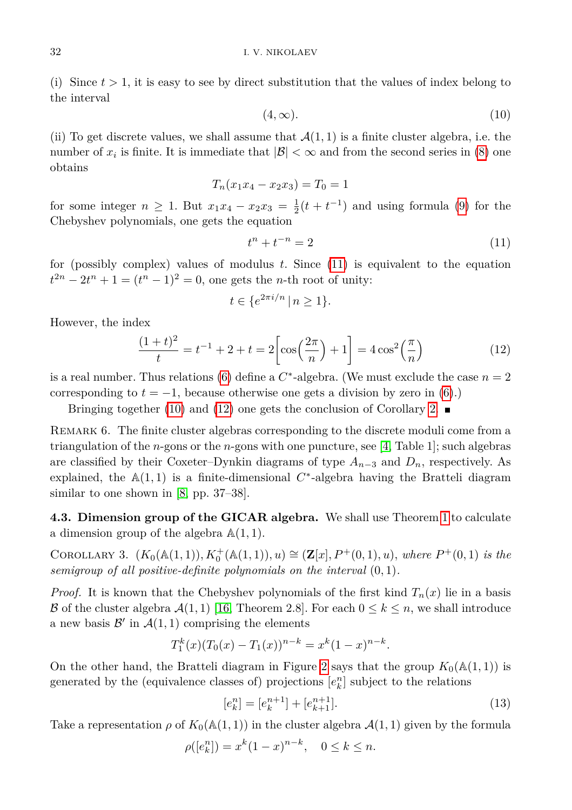<span id="page-9-1"></span>(i) Since  $t > 1$ , it is easy to see by direct substitution that the values of index belong to the interval

$$
(4, \infty). \tag{10}
$$

(ii) To get discrete values, we shall assume that  $\mathcal{A}(1,1)$  is a finite cluster algebra, i.e. the number of  $x_i$  is finite. It is immediate that  $|\mathcal{B}| < \infty$  and from the second series in [\(8\)](#page-8-1) one obtains

$$
T_n(x_1x_4 - x_2x_3) = T_0 = 1
$$

for some integer  $n \geq 1$ . But  $x_1x_4 - x_2x_3 = \frac{1}{2}(t + t^{-1})$  and using formula [\(9\)](#page-8-2) for the Chebyshev polynomials, one gets the equation

<span id="page-9-0"></span>
$$
t^n + t^{-n} = 2\tag{11}
$$

for (possibly complex) values of modulus *t*. Since [\(11\)](#page-9-0) is equivalent to the equation  $t^{2n} - 2t^n + 1 = (t^n - 1)^2 = 0$ , one gets the *n*-th root of unity:

$$
t \in \{e^{2\pi i/n} \mid n \ge 1\}.
$$

However, the index

<span id="page-9-2"></span>
$$
\frac{(1+t)^2}{t} = t^{-1} + 2 + t = 2\left[\cos\left(\frac{2\pi}{n}\right) + 1\right] = 4\cos^2\left(\frac{\pi}{n}\right)
$$
 (12)

is a real number. Thus relations [\(6\)](#page-8-0) define a  $C^*$ -algebra. (We must exclude the case  $n = 2$ corresponding to  $t = -1$ , because otherwise one gets a division by zero in [\(6\)](#page-8-0).)

Bringing together [\(10\)](#page-9-1) and [\(12\)](#page-9-2) one gets the conclusion of Corollary [2.](#page-8-3)

REMARK 6. The finite cluster algebras corresponding to the discrete moduli come from a triangulation of the *n*-gons or the *n*-gons with one puncture, see [\[4,](#page-11-7) Table 1]; such algebras are classified by their Coxeter–Dynkin diagrams of type  $A_{n-3}$  and  $D_n$ , respectively. As explained, the  $A(1,1)$  is a finite-dimensional  $C^*$ -algebra having the Bratteli diagram similar to one shown in [\[8,](#page-11-9) pp. 37–38].

**4.3. Dimension group of the GICAR algebra.** We shall use Theorem [1](#page-1-2) to calculate a dimension group of the algebra A(1*,* 1).

<span id="page-9-4"></span>COROLLARY 3.  $(K_0(\mathbb{A}(1,1)), K_0^+(\mathbb{A}(1,1)), u) \cong (\mathbf{Z}[x], P^+(0,1), u)$ *, where*  $P^+(0,1)$  *is the semigroup of all positive-definite polynomials on the interval* (0*,* 1)*.*

*Proof.* It is known that the Chebyshev polynomials of the first kind  $T_n(x)$  lie in a basis B of the cluster algebra  $\mathcal{A}(1,1)$  [\[16,](#page-11-10) Theorem 2.8]. For each  $0 \leq k \leq n$ , we shall introduce a new basis  $\mathcal{B}'$  in  $\mathcal{A}(1,1)$  comprising the elements

$$
T_1^k(x)(T_0(x) - T_1(x))^{n-k} = x^k(1-x)^{n-k}.
$$

On the other hand, the Bratteli diagram in Figure [2](#page-1-1) says that the group  $K_0(\mathbb{A}(1,1))$  is generated by the (equivalence classes of) projections  $[e_k^n]$  subject to the relations

<span id="page-9-3"></span>
$$
[e_k^n] = [e_k^{n+1}] + [e_{k+1}^{n+1}].
$$
\n(13)

Take a representation  $\rho$  of  $K_0(\mathbb{A}(1,1))$  in the cluster algebra  $\mathcal{A}(1,1)$  given by the formula

$$
\rho([e_k^n]) = x^k (1-x)^{n-k}, \quad 0 \le k \le n.
$$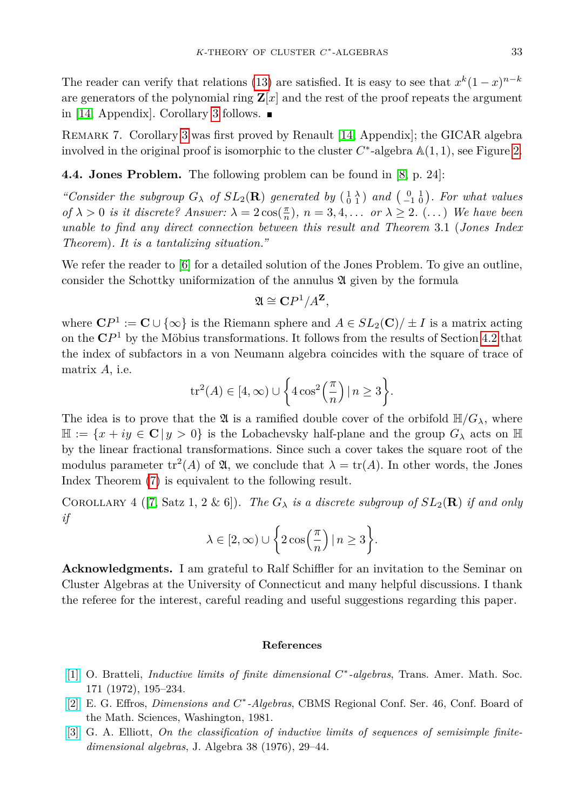The reader can verify that relations [\(13\)](#page-9-3) are satisfied. It is easy to see that  $x^k(1-x)^{n-k}$ are generators of the polynomial ring  $\mathbf{Z}[x]$  and the rest of the proof repeats the argument in [\[14,](#page-11-11) Appendix]. Corollary [3](#page-9-4) follows.  $\blacksquare$ 

Remark 7. Corollary [3](#page-9-4) was first proved by Renault [\[14,](#page-11-11) Appendix]; the GICAR algebra involved in the original proof is isomorphic to the cluster  $C^*$ -algebra  $\mathbb{A}(1,1)$ , see Figure [2.](#page-1-1)

## **4.4. Jones Problem.** The following problem can be found in [\[8,](#page-11-9) p. 24]:

*"Consider the subgroup*  $G_{\lambda}$  *of*  $SL_2(\mathbf{R})$  *generated by*  $(\begin{smallmatrix} 1 & \lambda \\ 0 & 1 \end{smallmatrix})$  *and*  $(\begin{smallmatrix} 0 & 1 \\ -1 & 0 \end{smallmatrix})$ *. For what values of*  $\lambda > 0$  *is it discrete? Answer:*  $\lambda = 2 \cos(\frac{\pi}{n})$ *,*  $n = 3, 4, \ldots$  *or*  $\lambda \geq 2$ *.* (...) *We have been unable to find any direct connection between this result and Theorem* 3.1 (*Jones Index Theorem*)*. It is a tantalizing situation."*

We refer the reader to [\[6\]](#page-11-12) for a detailed solution of the Jones Problem. To give an outline, consider the Schottky uniformization of the annulus  $\mathfrak A$  given by the formula

$$
\mathfrak{A} \cong \mathbf{C}P^1/A^{\mathbf{Z}},
$$

where  $\mathbf{C}P^1 := \mathbf{C} \cup \{ \infty \}$  is the Riemann sphere and  $A \in SL_2(\mathbf{C})/ \pm I$  is a matrix acting on the **C***P* <sup>1</sup> by the Möbius transformations. It follows from the results of Section [4.2](#page-8-4) that the index of subfactors in a von Neumann algebra coincides with the square of trace of matrix *A*, i.e.

$$
\operatorname{tr}^2(A) \in [4, \infty) \cup \left\{ 4 \cos^2\left(\frac{\pi}{n}\right) \mid n \ge 3 \right\}.
$$

The idea is to prove that the  $\mathfrak A$  is a ramified double cover of the orbifold  $\mathbb H/G_\lambda$ , where  $\mathbb{H} := \{x + iy \in \mathbb{C} \mid y > 0\}$  is the Lobachevsky half-plane and the group  $G_{\lambda}$  acts on  $\mathbb{H}$ by the linear fractional transformations. Since such a cover takes the square root of the modulus parameter  $tr^2(A)$  of  $\mathfrak{A}$ , we conclude that  $\lambda = tr(A)$ . In other words, the Jones Index Theorem [\(7\)](#page-8-5) is equivalent to the following result.

COROLLARY 4 ([\[7,](#page-11-13) Satz 1, 2 & 6]). *The*  $G_{\lambda}$  *is a discrete subgroup of*  $SL_2(\mathbf{R})$  *if and only if*

$$
\lambda \in [2,\infty) \cup \bigg\{2\cos\Bigl(\frac{\pi}{n}\Bigr)\,|\,n\geq 3\bigg\}.
$$

**Acknowledgments.** I am grateful to Ralf Schiffler for an invitation to the Seminar on Cluster Algebras at the University of Connecticut and many helpful discussions. I thank the referee for the interest, careful reading and useful suggestions regarding this paper.

## **References**

- <span id="page-10-0"></span>[\[1\]](http://dx.doi.org/10.2307/1996380) O. Bratteli, *Inductive limits of finite dimensional C* ∗ *-algebras*, Trans. Amer. Math. Soc. 171 (1972), 195–234.
- <span id="page-10-1"></span>[\[2\]](http://dx.doi.org/10.1090/cbms/046) E. G. Effros, *Dimensions and C* ∗ *-Algebras*, CBMS Regional Conf. Ser. 46, Conf. Board of the Math. Sciences, Washington, 1981.
- <span id="page-10-2"></span>[\[3\]](http://dx.doi.org/10.1016/0021-8693(76)90242-8) G. A. Elliott, *On the classification of inductive limits of sequences of semisimple finitedimensional algebras*, J. Algebra 38 (1976), 29–44.